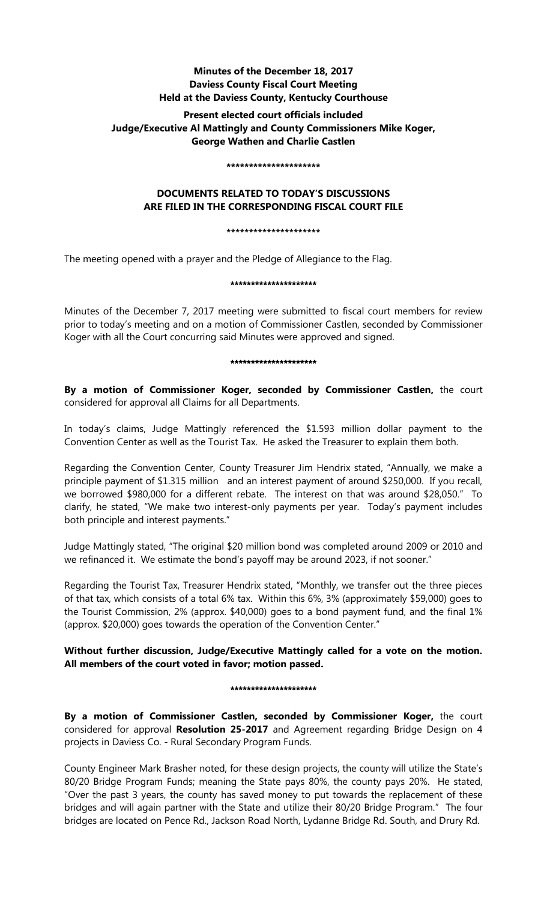## **Minutes of the December 18, 2017 Daviess County Fiscal Court Meeting Held at the Daviess County, Kentucky Courthouse**

## **Present elected court officials included Judge/Executive Al Mattingly and County Commissioners Mike Koger, George Wathen and Charlie Castlen**

#### **\*\*\*\*\*\*\*\*\*\*\*\*\*\*\*\*\*\*\*\*\***

# **DOCUMENTS RELATED TO TODAY'S DISCUSSIONS ARE FILED IN THE CORRESPONDING FISCAL COURT FILE**

## **\*\*\*\*\*\*\*\*\*\*\*\*\*\*\*\*\*\*\*\*\***

The meeting opened with a prayer and the Pledge of Allegiance to the Flag.

## \*\*\*\*\*\*\*\*\*\*\*\*\*\*\*\*\*\*\*\*\*

Minutes of the December 7, 2017 meeting were submitted to fiscal court members for review prior to today's meeting and on a motion of Commissioner Castlen, seconded by Commissioner Koger with all the Court concurring said Minutes were approved and signed.

## \*\*\*\*\*\*\*\*\*\*\*\*\*\*\*\*\*\*\*\*\*

**By a motion of Commissioner Koger, seconded by Commissioner Castlen,** the court considered for approval all Claims for all Departments.

In today's claims, Judge Mattingly referenced the \$1.593 million dollar payment to the Convention Center as well as the Tourist Tax. He asked the Treasurer to explain them both.

Regarding the Convention Center, County Treasurer Jim Hendrix stated, "Annually, we make a principle payment of \$1.315 million and an interest payment of around \$250,000. If you recall, we borrowed \$980,000 for a different rebate. The interest on that was around \$28,050." To clarify, he stated, "We make two interest-only payments per year. Today's payment includes both principle and interest payments."

Judge Mattingly stated, "The original \$20 million bond was completed around 2009 or 2010 and we refinanced it. We estimate the bond's payoff may be around 2023, if not sooner."

Regarding the Tourist Tax, Treasurer Hendrix stated, "Monthly, we transfer out the three pieces of that tax, which consists of a total 6% tax. Within this 6%, 3% (approximately \$59,000) goes to the Tourist Commission, 2% (approx. \$40,000) goes to a bond payment fund, and the final 1% (approx. \$20,000) goes towards the operation of the Convention Center."

# **Without further discussion, Judge/Executive Mattingly called for a vote on the motion. All members of the court voted in favor; motion passed.**

## \*\*\*\*\*\*\*\*\*\*\*\*\*\*\*\*\*\*\*\*

**By a motion of Commissioner Castlen, seconded by Commissioner Koger,** the court considered for approval **Resolution 25-2017** and Agreement regarding Bridge Design on 4 projects in Daviess Co. - Rural Secondary Program Funds.

County Engineer Mark Brasher noted, for these design projects, the county will utilize the State's 80/20 Bridge Program Funds; meaning the State pays 80%, the county pays 20%. He stated, "Over the past 3 years, the county has saved money to put towards the replacement of these bridges and will again partner with the State and utilize their 80/20 Bridge Program." The four bridges are located on Pence Rd., Jackson Road North, Lydanne Bridge Rd. South, and Drury Rd.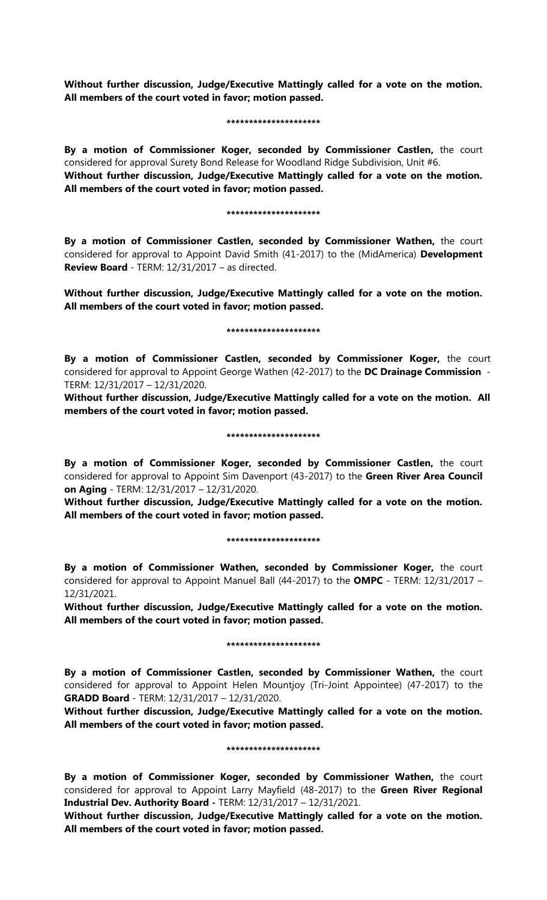**Without further discussion, Judge/Executive Mattingly called for a vote on the motion. All members of the court voted in favor; motion passed.** 

#### **\*\*\*\*\*\*\*\*\*\*\*\*\*\*\*\*\*\*\*\*\***

**By a motion of Commissioner Koger, seconded by Commissioner Castlen,** the court considered for approval Surety Bond Release for Woodland Ridge Subdivision, Unit #6. **Without further discussion, Judge/Executive Mattingly called for a vote on the motion. All members of the court voted in favor; motion passed.** 

#### **\*\*\*\*\*\*\*\*\*\*\*\*\*\*\*\*\*\*\*\*\***

**By a motion of Commissioner Castlen, seconded by Commissioner Wathen,** the court considered for approval to Appoint David Smith (41-2017) to the (MidAmerica) **Development Review Board** - TERM: 12/31/2017 – as directed.

**Without further discussion, Judge/Executive Mattingly called for a vote on the motion. All members of the court voted in favor; motion passed.** 

### **\*\*\*\*\*\*\*\*\*\*\*\*\*\*\*\*\*\*\*\*\***

**By a motion of Commissioner Castlen, seconded by Commissioner Koger,** the court considered for approval to Appoint George Wathen (42-2017) to the **DC Drainage Commission** - TERM: 12/31/2017 – 12/31/2020.

**Without further discussion, Judge/Executive Mattingly called for a vote on the motion. All members of the court voted in favor; motion passed.** 

### **\*\*\*\*\*\*\*\*\*\*\*\*\*\*\*\*\*\*\*\*\***

**By a motion of Commissioner Koger, seconded by Commissioner Castlen,** the court considered for approval to Appoint Sim Davenport (43-2017) to the **Green River Area Council on Aging** - TERM: 12/31/2017 – 12/31/2020.

**Without further discussion, Judge/Executive Mattingly called for a vote on the motion. All members of the court voted in favor; motion passed.** 

### **\*\*\*\*\*\*\*\*\*\*\*\*\*\*\*\*\*\*\*\*\***

**By a motion of Commissioner Wathen, seconded by Commissioner Koger,** the court considered for approval to Appoint Manuel Ball (44-2017) to the **OMPC** - TERM: 12/31/2017 – 12/31/2021.

**Without further discussion, Judge/Executive Mattingly called for a vote on the motion. All members of the court voted in favor; motion passed.** 

## **\*\*\*\*\*\*\*\*\*\*\*\*\*\*\*\*\*\*\*\*\***

**By a motion of Commissioner Castlen, seconded by Commissioner Wathen,** the court considered for approval to Appoint Helen Mountjoy (Tri-Joint Appointee) (47-2017) to the **GRADD Board** - TERM: 12/31/2017 – 12/31/2020.

**Without further discussion, Judge/Executive Mattingly called for a vote on the motion. All members of the court voted in favor; motion passed.** 

### **\*\*\*\*\*\*\*\*\*\*\*\*\*\*\*\*\*\*\*\*\***

**By a motion of Commissioner Koger, seconded by Commissioner Wathen,** the court considered for approval to Appoint Larry Mayfield (48-2017) to the **Green River Regional Industrial Dev. Authority Board -** TERM: 12/31/2017 – 12/31/2021.

**Without further discussion, Judge/Executive Mattingly called for a vote on the motion. All members of the court voted in favor; motion passed.**